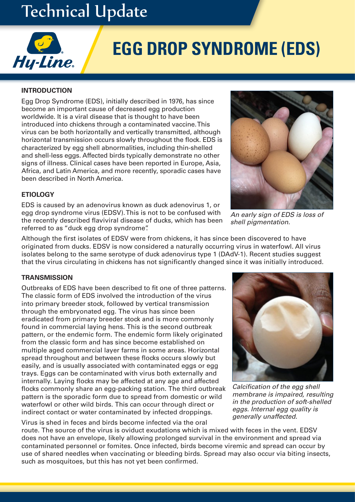# Technical Update



# **EGG DROP SYNDROME (EDS)**

# **INTRODUCTION**

Egg Drop Syndrome (EDS), initially described in 1976, has since become an important cause of decreased egg production worldwide. It is a viral disease that is thought to have been introduced into chickens through a contaminated vaccine. This virus can be both horizontally and vertically transmitted, although horizontal transmission occurs slowly throughout the flock. EDS is characterized by egg shell abnormalities, including thin-shelled and shell-less eggs. Affected birds typically demonstrate no other signs of illness. Clinical cases have been reported in Europe, Asia, Africa, and Latin America, and more recently, sporadic cases have been described in North America.

# **ETIOLOGY**

EDS is caused by an adenovirus known as duck adenovirus 1, or egg drop syndrome virus (EDSV). This is not to be confused with the recently described flaviviral disease of ducks, which has been referred to as "duck egg drop syndrome".

*An early sign of EDS is loss of shell pigmentation.*

Although the first isolates of EDSV were from chickens, it has since been discovered to have originated from ducks. EDSV is now considered a naturally occurring virus in waterfowl. All virus isolates belong to the same serotype of duck adenovirus type 1 (DAdV-1). Recent studies suggest that the virus circulating in chickens has not significantly changed since it was initially introduced.

#### **TRANSMISSION**

Outbreaks of EDS have been described to fit one of three patterns. The classic form of EDS involved the introduction of the virus into primary breeder stock, followed by vertical transmission through the embryonated egg. The virus has since been eradicated from primary breeder stock and is more commonly found in commercial laying hens. This is the second outbreak pattern, or the endemic form. The endemic form likely originated from the classic form and has since become established on multiple aged commercial layer farms in some areas. Horizontal spread throughout and between these flocks occurs slowly but easily, and is usually associated with contaminated eggs or egg trays. Eggs can be contaminated with virus both externally and internally. Laying flocks may be affected at any age and affected flocks commonly share an egg-packing station. The third outbreak pattern is the sporadic form due to spread from domestic or wild waterfowl or other wild birds. This can occur through direct or indirect contact or water contaminated by infected droppings.

Virus is shed in feces and birds become infected via the oral route. The source of the virus is oviduct exudations which is mixed with feces in the vent. EDSV does not have an envelope, likely allowing prolonged survival in the environment and spread via contaminated personnel or fomites. Once infected, birds become viremic and spread can occur by use of shared needles when vaccinating or bleeding birds. Spread may also occur via biting insects, such as mosquitoes, but this has not yet been confirmed.



*Calcification of the egg shell membrane is impaired, resulting in the production of soft-shelled eggs. Internal egg quality is generally unaffected.*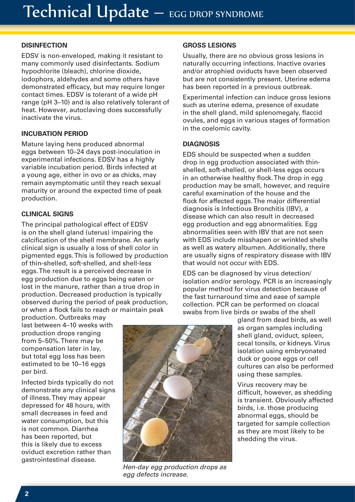# **DISINFECTION**

EDSV is non-enveloped, making it resistant to many commonly used disinfectants. Sodium hypochlorite (bleach), chlorine dioxide, iodophors, aldehydes and some others have demonstrated efficacy, but may require longer contact times. EDSV is tolerant of a wide pH range (pH 3–10) and is also relatively tolerant of heat. However, autoclaving does successfully inactivate the virus.

# **INCUBATION PERIOD**

Mature laying hens produced abnormal eggs between 10–24 days post-inoculation in experimental infections. EDSV has a highly variable incubation period. Birds infected at a young age, either in ovo or as chicks, may remain asymptomatic until they reach sexual maturity or around the expected time of peak production.

### **CLINICAL SIGNS**

The principal pathological effect of EDSV is on the shell gland (uterus) impairing the calcification of the shell membrane. An early clinical sign is usually a loss of shell color in pigmented eggs. This is followed by production of thin-shelled, soft-shelled, and shell-less eggs. The result is a perceived decrease in egg production due to eggs being eaten or lost in the manure, rather than a true drop in production. Decreased production is typically observed during the period of peak production, or when a flock fails to reach or maintain peak

production. Outbreaks may last between 4–10 weeks with production drops ranging from 5–50%. There may be compensation later in lay, but total egg loss has been estimated to be 10–16 eggs per bird.

Infected birds typically do not demonstrate any clinical signs of illness. They may appear depressed for 48 hours, with small decreases in feed and water consumption, but this is not common. Diarrhea has been reported, but this is likely due to excess oviduct excretion rather than gastrointestinal disease.

#### **GROSS LESIONS**

Usually, there are no obvious gross lesions in naturally occurring infections. Inactive ovaries and/or atrophied oviducts have been observed but are not consistently present. Uterine edema has been reported in a previous outbreak.

Experimental infection can induce gross lesions such as uterine edema, presence of exudate in the shell gland, mild splenomegaly, flaccid ovules, and eggs in various stages of formation in the coelomic cavity.

#### **DIAGNOSIS**

EDS should be suspected when a sudden drop in egg production associated with thinshelled, soft-shelled, or shell-less eggs occurs in an otherwise healthy flock. The drop in egg production may be small, however, and require careful examination of the house and the flock for affected eggs. The major differential diagnosis is Infectious Bronchitis (IBV), a disease which can also result in decreased egg production and egg abnormalities. Egg abnormalities seen with IBV that are not seen with EDS include misshapen or wrinkled shells as well as watery albumen. Additionally, there are usually signs of respiratory disease with IBV that would not occur with EDS.

EDS can be diagnosed by virus detection/ isolation and/or serology. PCR is an increasingly popular method for virus detection because of the fast turnaround time and ease of sample collection. PCR can be performed on cloacal swabs from live birds or swabs of the shell

> gland from dead birds, as well as organ samples including shell gland, oviduct, spleen, cecal tonsils, or kidneys. Virus isolation using embryonated duck or goose eggs or cell cultures can also be performed using these samples.

> Virus recovery may be difficult, however, as shedding is transient. Obviously affected birds, i.e. those producing abnormal eggs, should be targeted for sample collection as they are most likely to be shedding the virus.

*Hen-day egg production drops as egg defects increase.*

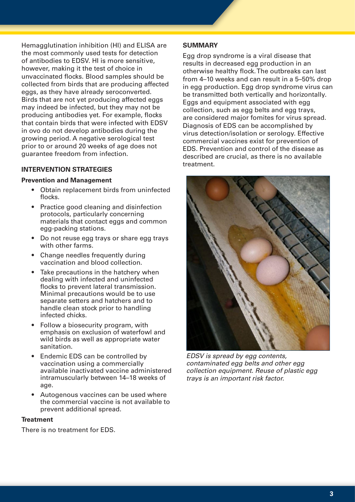Hemagglutination inhibition (HI) and ELISA are the most commonly used tests for detection of antibodies to EDSV. HI is more sensitive, however, making it the test of choice in unvaccinated flocks. Blood samples should be collected from birds that are producing affected eggs, as they have already seroconverted. Birds that are not yet producing affected eggs may indeed be infected, but they may not be producing antibodies yet. For example, flocks that contain birds that were infected with EDSV in ovo do not develop antibodies during the growing period. A negative serological test prior to or around 20 weeks of age does not guarantee freedom from infection.

#### **INTERVENTION STRATEGIES**

#### **Prevention and Management**

- Obtain replacement birds from uninfected flocks.
- Practice good cleaning and disinfection protocols, particularly concerning materials that contact eggs and common egg-packing stations.
- Do not reuse egg trays or share egg trays with other farms.
- Change needles frequently during vaccination and blood collection.
- Take precautions in the hatchery when dealing with infected and uninfected flocks to prevent lateral transmission. Minimal precautions would be to use separate setters and hatchers and to handle clean stock prior to handling infected chicks.
- Follow a biosecurity program, with emphasis on exclusion of waterfowl and wild birds as well as appropriate water sanitation.
- Endemic EDS can be controlled by vaccination using a commercially available inactivated vaccine administered intramuscularly between 14–18 weeks of age.
- Autogenous vaccines can be used where the commercial vaccine is not available to prevent additional spread.

#### **Treatment**

There is no treatment for EDS.

#### **SUMMARY**

Egg drop syndrome is a viral disease that results in decreased egg production in an otherwise healthy flock. The outbreaks can last from 4–10 weeks and can result in a 5–50% drop in egg production. Egg drop syndrome virus can be transmitted both vertically and horizontally. Eggs and equipment associated with egg collection, such as egg belts and egg trays, are considered major fomites for virus spread. Diagnosis of EDS can be accomplished by virus detection/isolation or serology. Effective commercial vaccines exist for prevention of EDS. Prevention and control of the disease as described are crucial, as there is no available treatment.



*EDSV is spread by egg contents, contaminated egg belts and other egg collection equipment. Reuse of plastic egg trays is an important risk factor.*